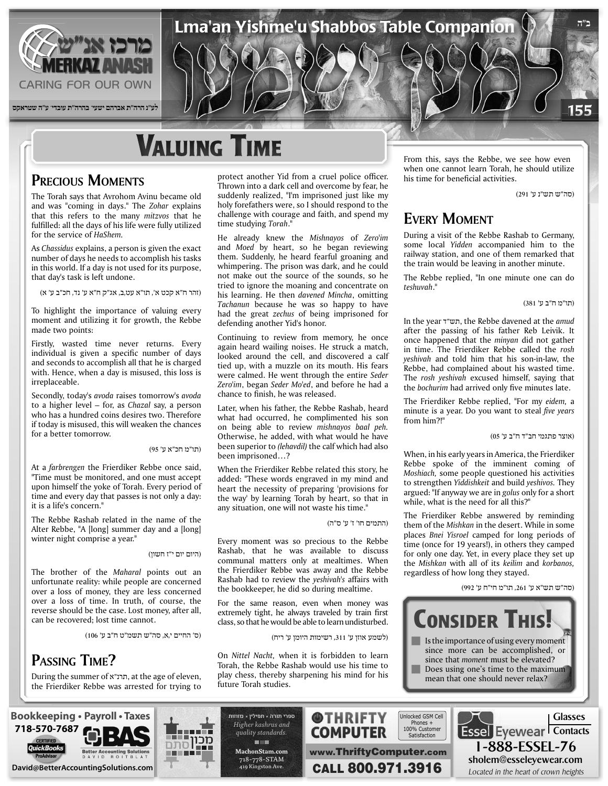

# **V**aluing Time

## **PRECIOUS MOMENTS**

The Torah says that Avrohom Avinu became old and was "coming in days." The Zohar explains that this refers to the many mitzvos that he fulfilled: all the days of his life were fully utilized *for the service of HaShem.* 

As *Chassidus* explains, a person is given the exact number of days he needs to accomplish his tasks in this world. If a day is not used for its purpose, that day's task is left undone.

(זהר ח"א קכט א', תו"א עט,ב, אג"ק ח"א ע' נד, חכ"ב ע' א)

To highlight the importance of valuing every moment and utilizing it for growth, the Rebbe made two points:

Firstly, wasted time never returns. Every individual is given a specific number of days and seconds to accomplish all that he is charged with. Hence, when a day is misused, this loss is irreplaceable.

Secondly, today's *avoda* raises tomorrow's *avoda* to a higher level – for, as *Chazal* say, a person who has a hundred coins desires two. Therefore if today is misused, this will weaken the chances for a better tomorrow.

(תו"מ חכ"א ע' 95)

At a *farbrengen* the Frierdiker Rebbe once said, "Time must be monitored, and one must accept upon himself the yoke of Torah. Every period of time and every day that passes is not only a day: it is a life's concern."

The Rebbe Rashab related in the name of the Alter Rebbe, "A [long] summer day and a [long] winter night comprise a year."

#### (היום יום י"ז חשון)

The brother of the Maharal points out an unfortunate reality: while people are concerned over a loss of money, they are less concerned over a loss of time. In truth, of course, the reverse should be the case. Lost money, after all, can be recovered; lost time cannot.

(ס' החיים י,א, סה"ש תשמ"ט ח"ב ע' 106)

## PASSING TIME?

During the summer of <sub>n</sub>תרנ"א, at the age of eleven, the Frierdiker Rebbe was arrested for trying to

protect another Yid from a cruel police officer. Thrown into a dark cell and overcome by fear, he suddenly realized, "I'm imprisoned just like my holy forefathers were, so I should respond to the challenge with courage and faith, and spend my time studying Torah."

Lma'an Yishme'u Shabbos Table Companion

He already knew the Mishnayos of Zero'im and *Moed* by heart, so he began reviewing them. Suddenly, he heard fearful groaning and whimpering. The prison was dark, and he could not make out the source of the sounds, so he tried to ignore the moaning and concentrate on his learning. He then davened Mincha, omitting Tachanun because he was so happy to have had the great *zechus* of being imprisoned for defending another Yid's honor.

Continuing to review from memory, he once again heard wailing noises. He struck a match, looked around the cell, and discovered a calf tied up, with a muzzle on its mouth. His fears were calmed. He went through the entire Seder Zero'im, began Seder Mo'ed, and before he had a chance to finish, he was released.

Later, when his father, the Rebbe Rashab, heard what had occurred, he complimented his son on being able to review mishnayos baal peh. Otherwise, he added, with what would he have been superior to *(lehavdil)* the calf which had also been imprisoned...?

When the Frierdiker Rebbe related this story, he added: "These words engraved in my mind and heart the necessity of preparing 'provisions for the way' by learning Torah by heart, so that in any situation, one will not waste his time."

(התמים חו' ז' ע' ס"ה)

Every moment was so precious to the Rebbe Rashab, that he was available to discuss communal matters only at mealtimes. When the Frierdiker Rebbe was away and the Rebbe Rashab had to review the *yeshivah's* affairs with the bookkeeper, he did so during mealtime.

For the same reason, even when money was extremely tight, he always traveled by train first class, so that he would be able to learn undisturbed.

(לשמע אוזן ע' ,311 רשימות היומן ע' ריח)

On Nittel Nacht, when it is forbidden to learn Torah, the Rebbe Rashab would use his time to play chess, thereby sharpening his mind for his future Torah studies.

From this, says the Rebbe, we see how even when one cannot learn Torah, he should utilize his time for beneficial activities.

(סה"ש תש"נ ע' 291)

**ב"ה**

155

## **EVERY MOMENT**

During a visit of the Rebbe Rashab to Germany, some local Yidden accompanied him to the railway station, and one of them remarked that the train would be leaving in another minute.

The Rebbe replied, "In one minute one can do ".*teshuvah*

(תו"מ ח"ב ע' 381)

*In the year יוש"ד*, the Rebbe davened at the *amud* after the passing of his father Reb Leivik. It once happened that the *minyan* did not gather in time. The Frierdiker Rebbe called the rosh *veshivah* and told him that his son-in-law, the Rebbe, had complained about his wasted time. The rosh yeshivah excused himself, saying that the bochurim had arrived only five minutes late.

The Frierdiker Rebbe replied. "For my eidem, a minute is a year. Do you want to steal *five years* from him?!"

(אוצר פתגמי חב"ד ח"ב ע' 05)

When, in his early years in America, the Frierdiker Rebbe spoke of the imminent coming of Moshiach, some people questioned his activities to strengthen Yiddishkeit and build yeshivos. They argued: "If anyway we are in *golus* only for a short while, what is the need for all this?"

The Frierdiker Rebbe answered by reminding them of the Mishkan in the desert. While in some places *Bnei Yisroel* camped for long periods of time (once for 19 years!), in others they camped for only one day. Yet, in every place they set up the *Mishkan* with all of its *keilim* and *korbanos*, regardless of how long they stayed.

(סה"ש תש"א ע' ,261 תו"מ חי"ח ע' 992)



 $\blacksquare$  Is the importance of using every moment since more can be accomplished, or since that *moment* must be elevated? Does using one's time to the maximum mean that one should never relax?